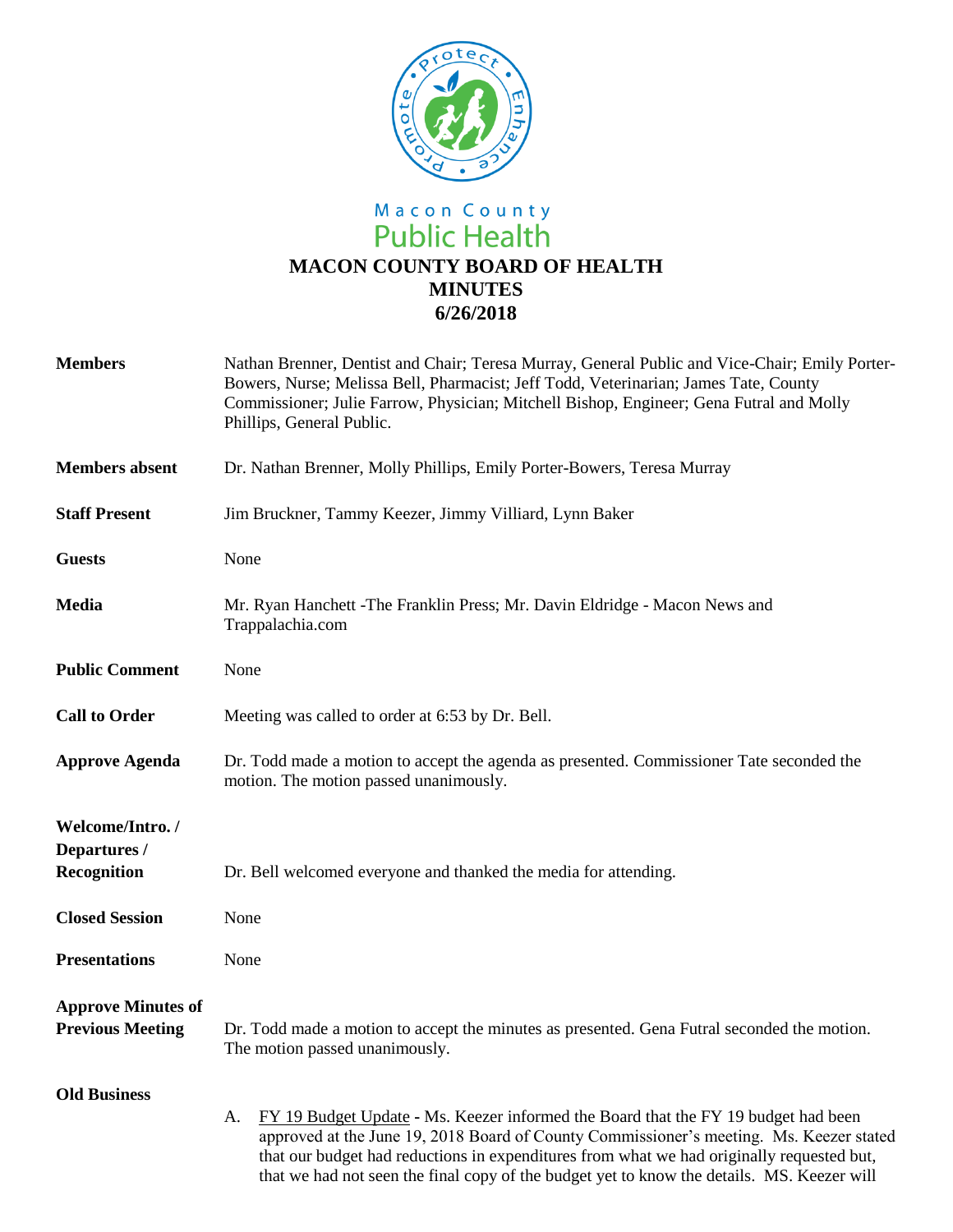

## Macon County<br>Public Health **MACON COUNTY BOARD OF HEALTH MINUTES 6/26/2018**

| <b>Members</b>                                       | Nathan Brenner, Dentist and Chair; Teresa Murray, General Public and Vice-Chair; Emily Porter-<br>Bowers, Nurse; Melissa Bell, Pharmacist; Jeff Todd, Veterinarian; James Tate, County<br>Commissioner; Julie Farrow, Physician; Mitchell Bishop, Engineer; Gena Futral and Molly<br>Phillips, General Public.                                                                 |  |  |
|------------------------------------------------------|--------------------------------------------------------------------------------------------------------------------------------------------------------------------------------------------------------------------------------------------------------------------------------------------------------------------------------------------------------------------------------|--|--|
| <b>Members</b> absent                                | Dr. Nathan Brenner, Molly Phillips, Emily Porter-Bowers, Teresa Murray                                                                                                                                                                                                                                                                                                         |  |  |
| <b>Staff Present</b>                                 | Jim Bruckner, Tammy Keezer, Jimmy Villiard, Lynn Baker                                                                                                                                                                                                                                                                                                                         |  |  |
| <b>Guests</b>                                        | None                                                                                                                                                                                                                                                                                                                                                                           |  |  |
| <b>Media</b>                                         | Mr. Ryan Hanchett - The Franklin Press; Mr. Davin Eldridge - Macon News and<br>Trappalachia.com                                                                                                                                                                                                                                                                                |  |  |
| <b>Public Comment</b>                                | None                                                                                                                                                                                                                                                                                                                                                                           |  |  |
| <b>Call to Order</b>                                 | Meeting was called to order at 6:53 by Dr. Bell.                                                                                                                                                                                                                                                                                                                               |  |  |
| <b>Approve Agenda</b>                                | Dr. Todd made a motion to accept the agenda as presented. Commissioner Tate seconded the<br>motion. The motion passed unanimously.                                                                                                                                                                                                                                             |  |  |
| Welcome/Intro./<br>Departures /<br>Recognition       | Dr. Bell welcomed everyone and thanked the media for attending.                                                                                                                                                                                                                                                                                                                |  |  |
| <b>Closed Session</b>                                | None                                                                                                                                                                                                                                                                                                                                                                           |  |  |
| <b>Presentations</b>                                 | None                                                                                                                                                                                                                                                                                                                                                                           |  |  |
| <b>Approve Minutes of</b><br><b>Previous Meeting</b> | Dr. Todd made a motion to accept the minutes as presented. Gena Futral seconded the motion.<br>The motion passed unanimously.                                                                                                                                                                                                                                                  |  |  |
| <b>Old Business</b>                                  | FY 19 Budget Update - Ms. Keezer informed the Board that the FY 19 budget had been<br>A.<br>approved at the June 19, 2018 Board of County Commissioner's meeting. Ms. Keezer stated<br>that our budget had reductions in expenditures from what we had originally requested but,<br>that we had not seen the final copy of the budget yet to know the details. MS. Keezer will |  |  |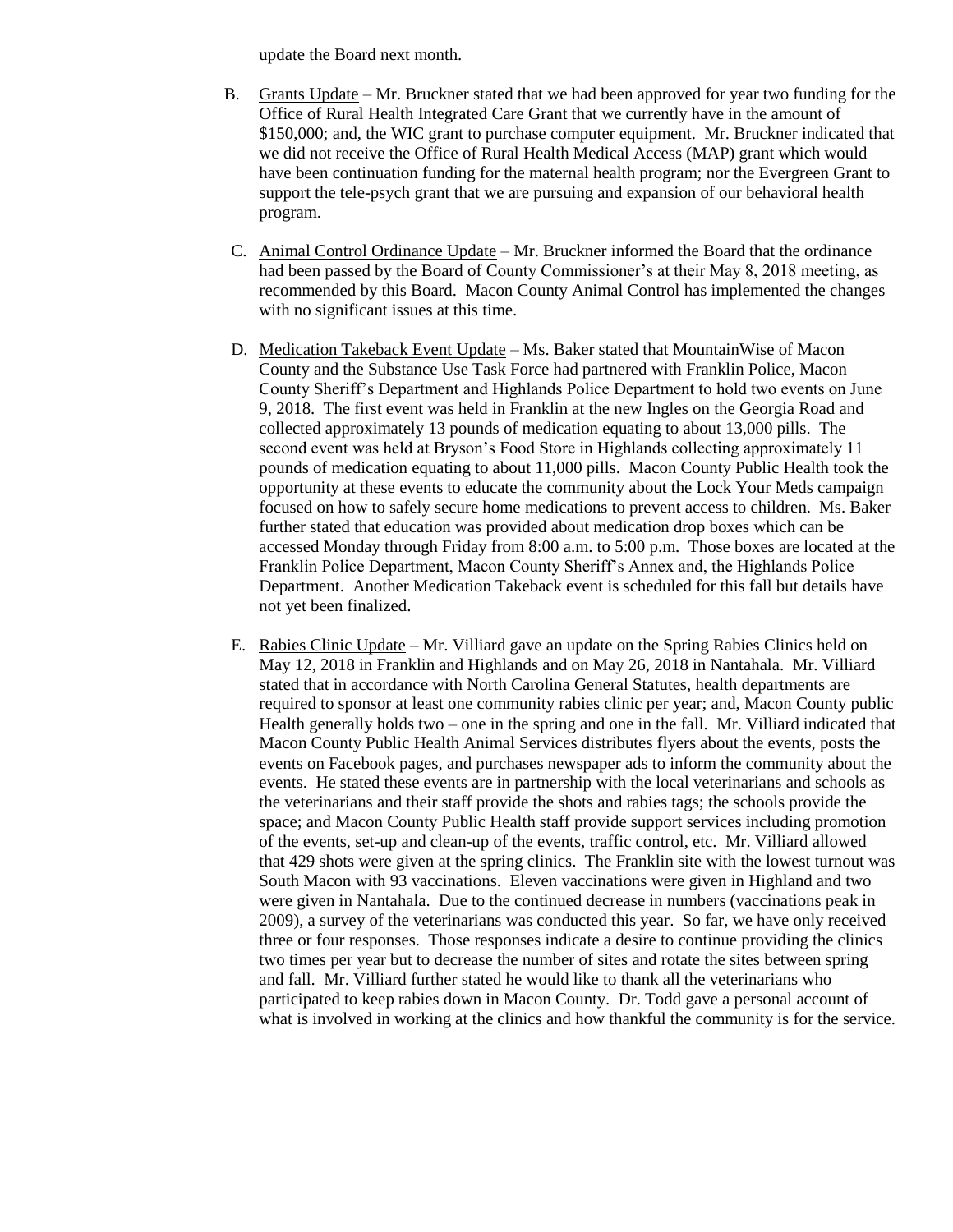update the Board next month.

- B. Grants Update Mr. Bruckner stated that we had been approved for year two funding for the Office of Rural Health Integrated Care Grant that we currently have in the amount of \$150,000; and, the WIC grant to purchase computer equipment. Mr. Bruckner indicated that we did not receive the Office of Rural Health Medical Access (MAP) grant which would have been continuation funding for the maternal health program; nor the Evergreen Grant to support the tele-psych grant that we are pursuing and expansion of our behavioral health program.
- C. Animal Control Ordinance Update Mr. Bruckner informed the Board that the ordinance had been passed by the Board of County Commissioner's at their May 8, 2018 meeting, as recommended by this Board. Macon County Animal Control has implemented the changes with no significant issues at this time.
- D. Medication Takeback Event Update Ms. Baker stated that MountainWise of Macon County and the Substance Use Task Force had partnered with Franklin Police, Macon County Sheriff's Department and Highlands Police Department to hold two events on June 9, 2018. The first event was held in Franklin at the new Ingles on the Georgia Road and collected approximately 13 pounds of medication equating to about 13,000 pills. The second event was held at Bryson's Food Store in Highlands collecting approximately 11 pounds of medication equating to about 11,000 pills. Macon County Public Health took the opportunity at these events to educate the community about the Lock Your Meds campaign focused on how to safely secure home medications to prevent access to children. Ms. Baker further stated that education was provided about medication drop boxes which can be accessed Monday through Friday from 8:00 a.m. to 5:00 p.m. Those boxes are located at the Franklin Police Department, Macon County Sheriff's Annex and, the Highlands Police Department. Another Medication Takeback event is scheduled for this fall but details have not yet been finalized.
- E. Rabies Clinic Update Mr. Villiard gave an update on the Spring Rabies Clinics held on May 12, 2018 in Franklin and Highlands and on May 26, 2018 in Nantahala. Mr. Villiard stated that in accordance with North Carolina General Statutes, health departments are required to sponsor at least one community rabies clinic per year; and, Macon County public Health generally holds two – one in the spring and one in the fall. Mr. Villiard indicated that Macon County Public Health Animal Services distributes flyers about the events, posts the events on Facebook pages, and purchases newspaper ads to inform the community about the events. He stated these events are in partnership with the local veterinarians and schools as the veterinarians and their staff provide the shots and rabies tags; the schools provide the space; and Macon County Public Health staff provide support services including promotion of the events, set-up and clean-up of the events, traffic control, etc. Mr. Villiard allowed that 429 shots were given at the spring clinics. The Franklin site with the lowest turnout was South Macon with 93 vaccinations. Eleven vaccinations were given in Highland and two were given in Nantahala. Due to the continued decrease in numbers (vaccinations peak in 2009), a survey of the veterinarians was conducted this year. So far, we have only received three or four responses. Those responses indicate a desire to continue providing the clinics two times per year but to decrease the number of sites and rotate the sites between spring and fall. Mr. Villiard further stated he would like to thank all the veterinarians who participated to keep rabies down in Macon County. Dr. Todd gave a personal account of what is involved in working at the clinics and how thankful the community is for the service.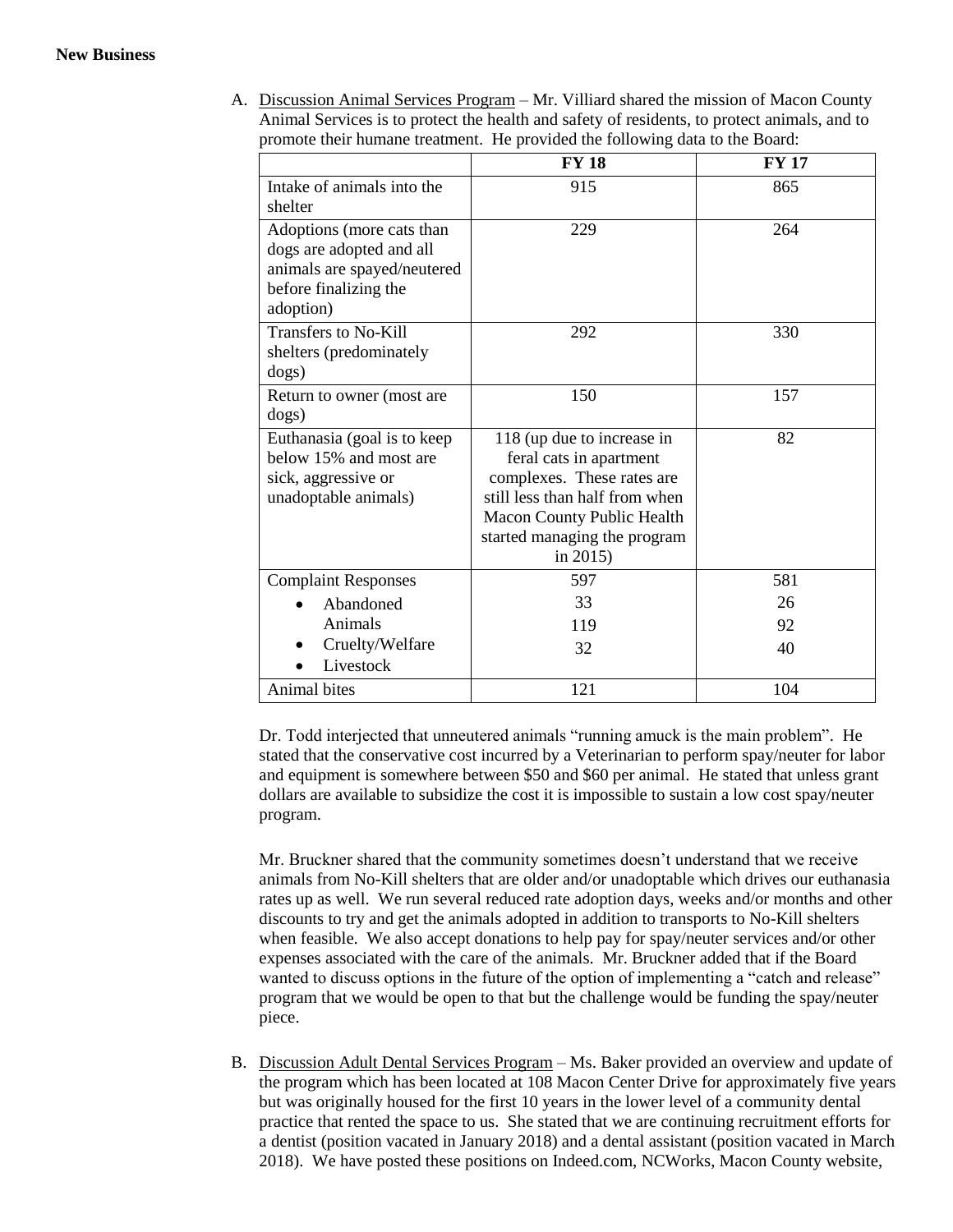A. Discussion Animal Services Program – Mr. Villiard shared the mission of Macon County Animal Services is to protect the health and safety of residents, to protect animals, and to promote their humane treatment. He provided the following data to the Board:

|                                                                                                                            | <b>FY 18</b>                                                                                                                                                                                              | <b>FY 17</b> |
|----------------------------------------------------------------------------------------------------------------------------|-----------------------------------------------------------------------------------------------------------------------------------------------------------------------------------------------------------|--------------|
| Intake of animals into the<br>shelter                                                                                      | 915                                                                                                                                                                                                       | 865          |
| Adoptions (more cats than<br>dogs are adopted and all<br>animals are spayed/neutered<br>before finalizing the<br>adoption) | 229                                                                                                                                                                                                       | 264          |
| Transfers to No-Kill<br>shelters (predominately<br>dogs)                                                                   | 292                                                                                                                                                                                                       | 330          |
| Return to owner (most are<br>dogs)                                                                                         | 150                                                                                                                                                                                                       | 157          |
| Euthanasia (goal is to keep<br>below 15% and most are<br>sick, aggressive or<br>unadoptable animals)                       | 118 (up due to increase in<br>feral cats in apartment<br>complexes. These rates are<br>still less than half from when<br><b>Macon County Public Health</b><br>started managing the program<br>in $2015$ ) | 82           |
| <b>Complaint Responses</b>                                                                                                 | 597                                                                                                                                                                                                       | 581          |
| Abandoned                                                                                                                  | 33                                                                                                                                                                                                        | 26           |
| Animals                                                                                                                    | 119                                                                                                                                                                                                       | 92           |
| Cruelty/Welfare<br>Livestock                                                                                               | 32                                                                                                                                                                                                        | 40           |
| Animal bites                                                                                                               | 121                                                                                                                                                                                                       | 104          |

Dr. Todd interjected that unneutered animals "running amuck is the main problem". He stated that the conservative cost incurred by a Veterinarian to perform spay/neuter for labor and equipment is somewhere between \$50 and \$60 per animal. He stated that unless grant dollars are available to subsidize the cost it is impossible to sustain a low cost spay/neuter program.

Mr. Bruckner shared that the community sometimes doesn't understand that we receive animals from No-Kill shelters that are older and/or unadoptable which drives our euthanasia rates up as well. We run several reduced rate adoption days, weeks and/or months and other discounts to try and get the animals adopted in addition to transports to No-Kill shelters when feasible. We also accept donations to help pay for spay/neuter services and/or other expenses associated with the care of the animals. Mr. Bruckner added that if the Board wanted to discuss options in the future of the option of implementing a "catch and release" program that we would be open to that but the challenge would be funding the spay/neuter piece.

B. Discussion Adult Dental Services Program – Ms. Baker provided an overview and update of the program which has been located at 108 Macon Center Drive for approximately five years but was originally housed for the first 10 years in the lower level of a community dental practice that rented the space to us. She stated that we are continuing recruitment efforts for a dentist (position vacated in January 2018) and a dental assistant (position vacated in March 2018). We have posted these positions on Indeed.com, NCWorks, Macon County website,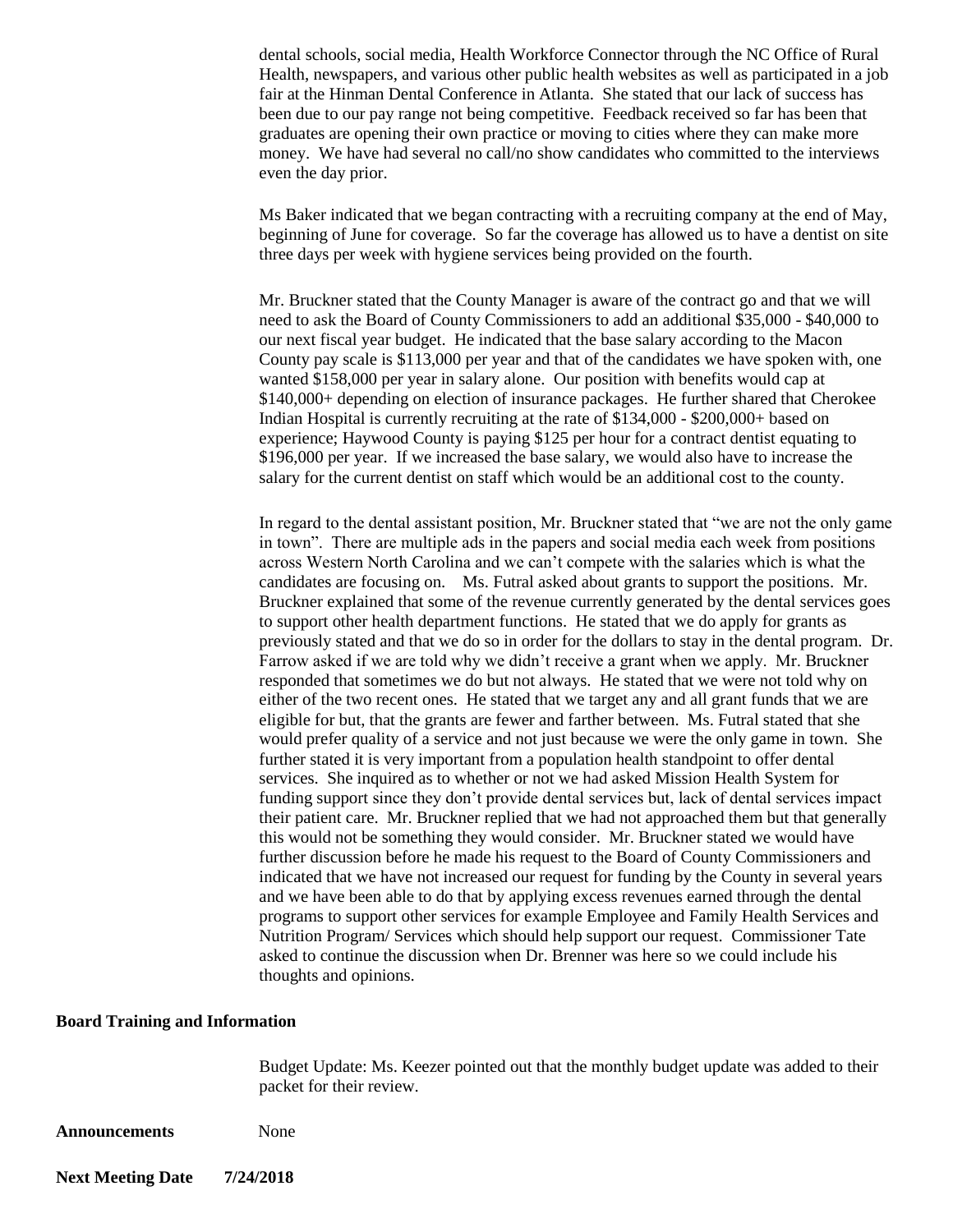dental schools, social media, Health Workforce Connector through the NC Office of Rural Health, newspapers, and various other public health websites as well as participated in a job fair at the Hinman Dental Conference in Atlanta. She stated that our lack of success has been due to our pay range not being competitive. Feedback received so far has been that graduates are opening their own practice or moving to cities where they can make more money. We have had several no call/no show candidates who committed to the interviews even the day prior.

Ms Baker indicated that we began contracting with a recruiting company at the end of May, beginning of June for coverage. So far the coverage has allowed us to have a dentist on site three days per week with hygiene services being provided on the fourth.

Mr. Bruckner stated that the County Manager is aware of the contract go and that we will need to ask the Board of County Commissioners to add an additional \$35,000 - \$40,000 to our next fiscal year budget. He indicated that the base salary according to the Macon County pay scale is \$113,000 per year and that of the candidates we have spoken with, one wanted \$158,000 per year in salary alone. Our position with benefits would cap at \$140,000+ depending on election of insurance packages. He further shared that Cherokee Indian Hospital is currently recruiting at the rate of \$134,000 - \$200,000+ based on experience; Haywood County is paying \$125 per hour for a contract dentist equating to \$196,000 per year. If we increased the base salary, we would also have to increase the salary for the current dentist on staff which would be an additional cost to the county.

In regard to the dental assistant position, Mr. Bruckner stated that "we are not the only game in town". There are multiple ads in the papers and social media each week from positions across Western North Carolina and we can't compete with the salaries which is what the candidates are focusing on. Ms. Futral asked about grants to support the positions. Mr. Bruckner explained that some of the revenue currently generated by the dental services goes to support other health department functions. He stated that we do apply for grants as previously stated and that we do so in order for the dollars to stay in the dental program. Dr. Farrow asked if we are told why we didn't receive a grant when we apply. Mr. Bruckner responded that sometimes we do but not always. He stated that we were not told why on either of the two recent ones. He stated that we target any and all grant funds that we are eligible for but, that the grants are fewer and farther between. Ms. Futral stated that she would prefer quality of a service and not just because we were the only game in town. She further stated it is very important from a population health standpoint to offer dental services. She inquired as to whether or not we had asked Mission Health System for funding support since they don't provide dental services but, lack of dental services impact their patient care. Mr. Bruckner replied that we had not approached them but that generally this would not be something they would consider. Mr. Bruckner stated we would have further discussion before he made his request to the Board of County Commissioners and indicated that we have not increased our request for funding by the County in several years and we have been able to do that by applying excess revenues earned through the dental programs to support other services for example Employee and Family Health Services and Nutrition Program/ Services which should help support our request. Commissioner Tate asked to continue the discussion when Dr. Brenner was here so we could include his thoughts and opinions.

## **Board Training and Information**

Budget Update: Ms. Keezer pointed out that the monthly budget update was added to their packet for their review.

**Announcements** None

**Next Meeting Date 7/24/2018**